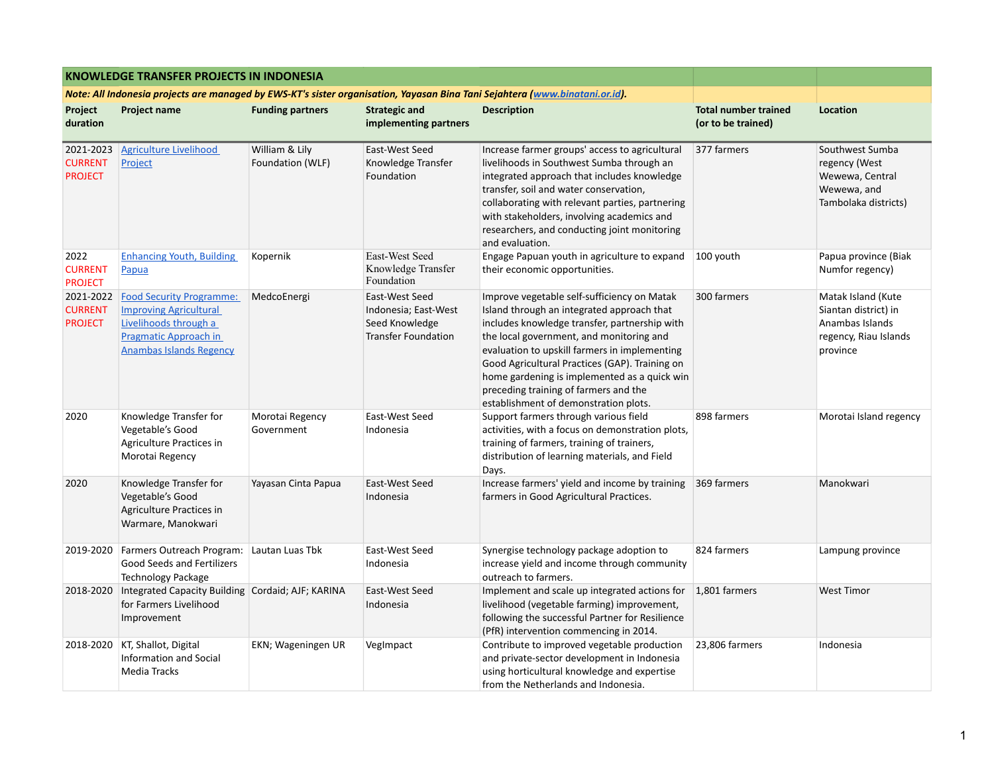|                                                                                                                             | <b>KNOWLEDGE TRANSFER PROJECTS IN INDONESIA</b>                                                                                                      |                                    |                                                                                        |                                                                                                                                                                                                                                                                                                                                                                                                                             |                                                   |                                                                                                    |
|-----------------------------------------------------------------------------------------------------------------------------|------------------------------------------------------------------------------------------------------------------------------------------------------|------------------------------------|----------------------------------------------------------------------------------------|-----------------------------------------------------------------------------------------------------------------------------------------------------------------------------------------------------------------------------------------------------------------------------------------------------------------------------------------------------------------------------------------------------------------------------|---------------------------------------------------|----------------------------------------------------------------------------------------------------|
| Note: All Indonesia projects are managed by EWS-KT's sister organisation, Yayasan Bina Tani Sejahtera (www.binatani.or.id). |                                                                                                                                                      |                                    |                                                                                        |                                                                                                                                                                                                                                                                                                                                                                                                                             |                                                   |                                                                                                    |
| Project<br>duration                                                                                                         | <b>Project name</b>                                                                                                                                  | <b>Funding partners</b>            | <b>Strategic and</b><br>implementing partners                                          | <b>Description</b>                                                                                                                                                                                                                                                                                                                                                                                                          | <b>Total number trained</b><br>(or to be trained) | <b>Location</b>                                                                                    |
| 2021-2023<br><b>CURRENT</b><br><b>PROJECT</b>                                                                               | <b>Agriculture Livelihood</b><br>Project                                                                                                             | William & Lily<br>Foundation (WLF) | East-West Seed<br>Knowledge Transfer<br>Foundation                                     | Increase farmer groups' access to agricultural<br>livelihoods in Southwest Sumba through an<br>integrated approach that includes knowledge<br>transfer, soil and water conservation,<br>collaborating with relevant parties, partnering<br>with stakeholders, involving academics and<br>researchers, and conducting joint monitoring<br>and evaluation.                                                                    | 377 farmers                                       | Southwest Sumba<br>regency (West<br>Wewewa, Central<br>Wewewa, and<br>Tambolaka districts)         |
| 2022<br><b>CURRENT</b><br><b>PROJECT</b>                                                                                    | <b>Enhancing Youth, Building</b><br>Papua                                                                                                            | Kopernik                           | East-West Seed<br>Knowledge Transfer<br>Foundation                                     | Engage Papuan youth in agriculture to expand<br>their economic opportunities.                                                                                                                                                                                                                                                                                                                                               | 100 youth                                         | Papua province (Biak<br>Numfor regency)                                                            |
| 2021-2022<br><b>CURRENT</b><br><b>PROJECT</b>                                                                               | <b>Food Security Programme:</b><br><b>Improving Agricultural</b><br>Livelihoods through a<br>Pragmatic Approach in<br><b>Anambas Islands Regency</b> | MedcoEnergi                        | East-West Seed<br>Indonesia; East-West<br>Seed Knowledge<br><b>Transfer Foundation</b> | Improve vegetable self-sufficiency on Matak<br>Island through an integrated approach that<br>includes knowledge transfer, partnership with<br>the local government, and monitoring and<br>evaluation to upskill farmers in implementing<br>Good Agricultural Practices (GAP). Training on<br>home gardening is implemented as a quick win<br>preceding training of farmers and the<br>establishment of demonstration plots. | 300 farmers                                       | Matak Island (Kute<br>Siantan district) in<br>Anambas Islands<br>regency, Riau Islands<br>province |
| 2020                                                                                                                        | Knowledge Transfer for<br>Vegetable's Good<br>Agriculture Practices in<br>Morotai Regency                                                            | Morotai Regency<br>Government      | East-West Seed<br>Indonesia                                                            | Support farmers through various field<br>activities, with a focus on demonstration plots,<br>training of farmers, training of trainers,<br>distribution of learning materials, and Field<br>Days.                                                                                                                                                                                                                           | 898 farmers                                       | Morotai Island regency                                                                             |
| 2020                                                                                                                        | Knowledge Transfer for<br>Vegetable's Good<br>Agriculture Practices in<br>Warmare, Manokwari                                                         | Yayasan Cinta Papua                | East-West Seed<br>Indonesia                                                            | Increase farmers' yield and income by training<br>farmers in Good Agricultural Practices.                                                                                                                                                                                                                                                                                                                                   | 369 farmers                                       | Manokwari                                                                                          |
|                                                                                                                             | 2019-2020 Farmers Outreach Program: Lautan Luas Tbk<br>Good Seeds and Fertilizers<br><b>Technology Package</b>                                       |                                    | East-West Seed<br>Indonesia                                                            | Synergise technology package adoption to<br>increase yield and income through community<br>outreach to farmers.                                                                                                                                                                                                                                                                                                             | 824 farmers                                       | Lampung province                                                                                   |
| 2018-2020                                                                                                                   | Integrated Capacity Building Cordaid; AJF; KARINA<br>for Farmers Livelihood<br>Improvement                                                           |                                    | East-West Seed<br>Indonesia                                                            | Implement and scale up integrated actions for<br>livelihood (vegetable farming) improvement,<br>following the successful Partner for Resilience<br>(PfR) intervention commencing in 2014.                                                                                                                                                                                                                                   | $1,801$ farmers                                   | <b>West Timor</b>                                                                                  |
| 2018-2020                                                                                                                   | KT, Shallot, Digital<br>Information and Social<br><b>Media Tracks</b>                                                                                | EKN; Wageningen UR                 | VegImpact                                                                              | Contribute to improved vegetable production<br>and private-sector development in Indonesia<br>using horticultural knowledge and expertise<br>from the Netherlands and Indonesia.                                                                                                                                                                                                                                            | 23,806 farmers                                    | Indonesia                                                                                          |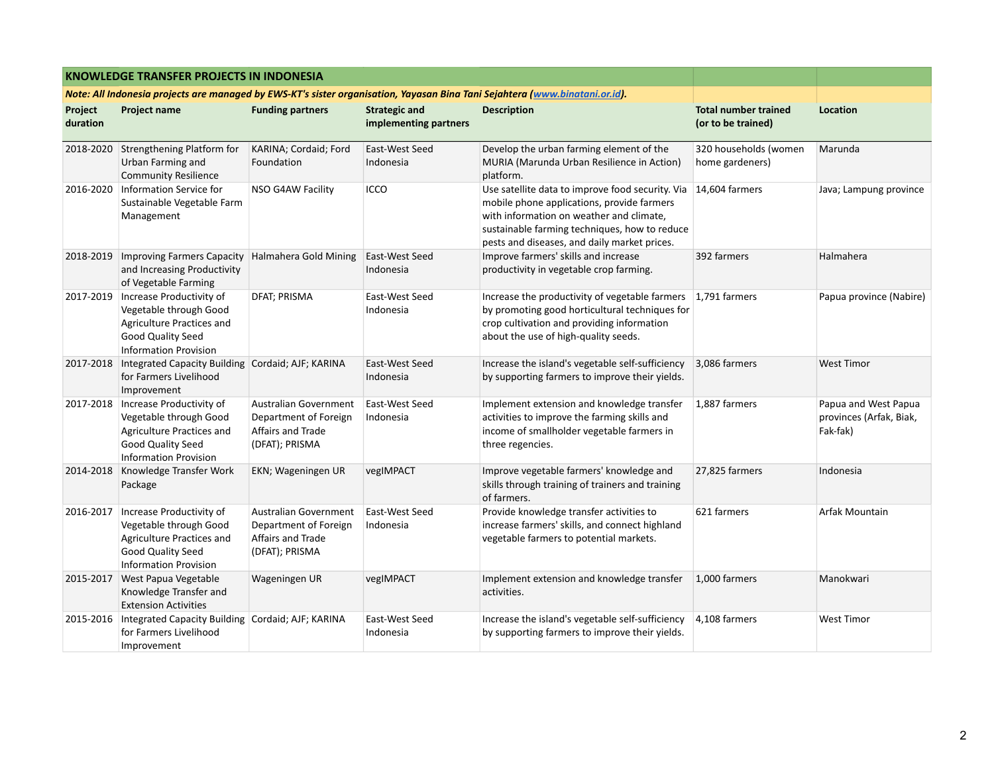|                                                                                                                             | <b>KNOWLEDGE TRANSFER PROJECTS IN INDONESIA</b>                                                                                                  |                                                                                              |                                               |                                                                                                                                                                                                                                             |                                                   |                                                             |
|-----------------------------------------------------------------------------------------------------------------------------|--------------------------------------------------------------------------------------------------------------------------------------------------|----------------------------------------------------------------------------------------------|-----------------------------------------------|---------------------------------------------------------------------------------------------------------------------------------------------------------------------------------------------------------------------------------------------|---------------------------------------------------|-------------------------------------------------------------|
| Note: All Indonesia projects are managed by EWS-KT's sister organisation, Yayasan Bina Tani Sejahtera (www.binatani.or.id). |                                                                                                                                                  |                                                                                              |                                               |                                                                                                                                                                                                                                             |                                                   |                                                             |
| Project<br>duration                                                                                                         | <b>Project name</b>                                                                                                                              | <b>Funding partners</b>                                                                      | <b>Strategic and</b><br>implementing partners | <b>Description</b>                                                                                                                                                                                                                          | <b>Total number trained</b><br>(or to be trained) | Location                                                    |
| 2018-2020                                                                                                                   | Strengthening Platform for<br>Urban Farming and<br><b>Community Resilience</b>                                                                   | KARINA; Cordaid; Ford<br>Foundation                                                          | East-West Seed<br>Indonesia                   | Develop the urban farming element of the<br>MURIA (Marunda Urban Resilience in Action)<br>platform.                                                                                                                                         | 320 households (women<br>home gardeners)          | Marunda                                                     |
| 2016-2020                                                                                                                   | Information Service for<br>Sustainable Vegetable Farm<br>Management                                                                              | NSO G4AW Facility                                                                            | ICCO                                          | Use satellite data to improve food security. Via<br>mobile phone applications, provide farmers<br>with information on weather and climate,<br>sustainable farming techniques, how to reduce<br>pests and diseases, and daily market prices. | 14,604 farmers                                    | Java; Lampung province                                      |
| 2018-2019                                                                                                                   | Improving Farmers Capacity<br>and Increasing Productivity<br>of Vegetable Farming                                                                | Halmahera Gold Mining                                                                        | East-West Seed<br>Indonesia                   | Improve farmers' skills and increase<br>productivity in vegetable crop farming.                                                                                                                                                             | 392 farmers                                       | Halmahera                                                   |
| 2017-2019                                                                                                                   | Increase Productivity of<br>Vegetable through Good<br>Agriculture Practices and<br>Good Quality Seed<br><b>Information Provision</b>             | <b>DFAT</b> ; PRISMA                                                                         | East-West Seed<br>Indonesia                   | Increase the productivity of vegetable farmers 1,791 farmers<br>by promoting good horticultural techniques for<br>crop cultivation and providing information<br>about the use of high-quality seeds.                                        |                                                   | Papua province (Nabire)                                     |
|                                                                                                                             | 2017-2018   Integrated Capacity Building<br>for Farmers Livelihood<br>Improvement                                                                | Cordaid; AJF; KARINA                                                                         | East-West Seed<br>Indonesia                   | Increase the island's vegetable self-sufficiency<br>by supporting farmers to improve their yields.                                                                                                                                          | 3,086 farmers                                     | <b>West Timor</b>                                           |
|                                                                                                                             | 2017-2018   Increase Productivity of<br>Vegetable through Good<br>Agriculture Practices and<br>Good Quality Seed<br><b>Information Provision</b> | Australian Government<br>Department of Foreign<br>Affairs and Trade<br>(DFAT); PRISMA        | East-West Seed<br>Indonesia                   | Implement extension and knowledge transfer<br>activities to improve the farming skills and<br>income of smallholder vegetable farmers in<br>three regencies.                                                                                | 1,887 farmers                                     | Papua and West Papua<br>provinces (Arfak, Biak,<br>Fak-fak) |
| 2014-2018                                                                                                                   | Knowledge Transfer Work<br>Package                                                                                                               | EKN; Wageningen UR                                                                           | vegIMPACT                                     | Improve vegetable farmers' knowledge and<br>skills through training of trainers and training<br>of farmers.                                                                                                                                 | 27,825 farmers                                    | Indonesia                                                   |
| 2016-2017                                                                                                                   | Increase Productivity of<br>Vegetable through Good<br>Agriculture Practices and<br>Good Quality Seed<br><b>Information Provision</b>             | <b>Australian Government</b><br>Department of Foreign<br>Affairs and Trade<br>(DFAT); PRISMA | East-West Seed<br>Indonesia                   | Provide knowledge transfer activities to<br>increase farmers' skills, and connect highland<br>vegetable farmers to potential markets.                                                                                                       | 621 farmers                                       | Arfak Mountain                                              |
| 2015-2017                                                                                                                   | <b>West Papua Vegetable</b><br>Knowledge Transfer and<br><b>Extension Activities</b>                                                             | Wageningen UR                                                                                | vegIMPACT                                     | Implement extension and knowledge transfer<br>activities.                                                                                                                                                                                   | 1,000 farmers                                     | Manokwari                                                   |
|                                                                                                                             | 2015-2016   Integrated Capacity Building<br>for Farmers Livelihood<br>Improvement                                                                | Cordaid; AJF; KARINA                                                                         | East-West Seed<br>Indonesia                   | Increase the island's vegetable self-sufficiency<br>by supporting farmers to improve their yields.                                                                                                                                          | 4,108 farmers                                     | <b>West Timor</b>                                           |